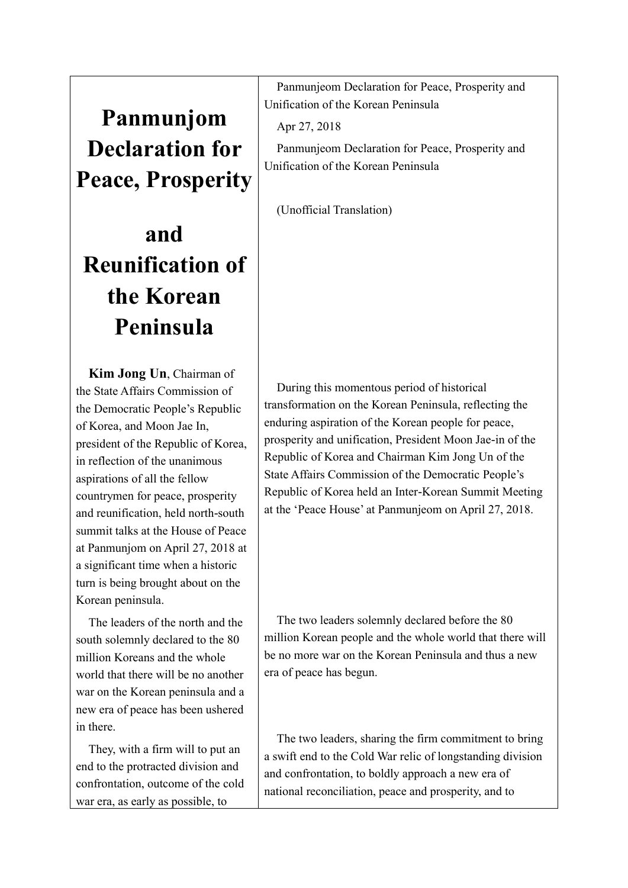## **Panmunjom Declaration for Peace, Prosperity**

## **and Reunification of the Korean Peninsula**

**Kim Jong Un**, Chairman of the State Affairs Commission of the Democratic People's Republic of Korea, and Moon Jae In, president of the Republic of Korea, in reflection of the unanimous aspirations of all the fellow countrymen for peace, prosperity and reunification, held north-south summit talks at the House of Peace at Panmunjom on April 27, 2018 at a significant time when a historic turn is being brought about on the Korean peninsula.

The leaders of the north and the south solemnly declared to the 80 million Koreans and the whole world that there will be no another war on the Korean peninsula and a new era of peace has been ushered in there.

They, with a firm will to put an end to the protracted division and confrontation, outcome of the cold war era, as early as possible, to

Panmunjeom Declaration for Peace, Prosperity and Unification of the Korean Peninsula

Apr 27, 2018

Panmunjeom Declaration for Peace, Prosperity and Unification of the Korean Peninsula

(Unofficial Translation)

During this momentous period of historical transformation on the Korean Peninsula, reflecting the enduring aspiration of the Korean people for peace, prosperity and unification, President Moon Jae-in of the Republic of Korea and Chairman Kim Jong Un of the State Affairs Commission of the Democratic People's Republic of Korea held an Inter-Korean Summit Meeting at the 'Peace House' at Panmunjeom on April 27, 2018.

The two leaders solemnly declared before the 80 million Korean people and the whole world that there will be no more war on the Korean Peninsula and thus a new era of peace has begun.

The two leaders, sharing the firm commitment to bring a swift end to the Cold War relic of longstanding division and confrontation, to boldly approach a new era of national reconciliation, peace and prosperity, and to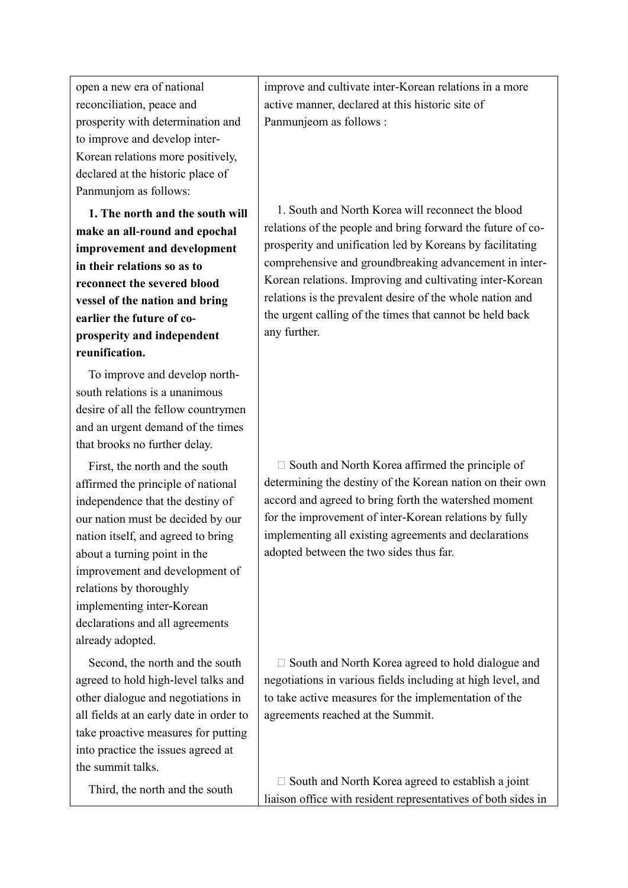open a new era of national reconciliation, peace and prosperity with determination and to improve and develop inter-Korean relations more positively, declared at the historic place of Panmunjom as follows:

**1. The north and the south will make an all-round and epochal improvement and development in their relations so as to reconnect the severed blood vessel of the nation and bring earlier the future of coprosperity and independent reunification.**

To improve and develop northsouth relations is a unanimous desire of all the fellow countrymen and an urgent demand of the times that brooks no further delay.

First, the north and the south affirmed the principle of national independence that the destiny of our nation must be decided by our nation itself, and agreed to bring about a turning point in the improvement and development of relations by thoroughly implementing inter-Korean declarations and all agreements already adopted.

Second, the north and the south agreed to hold high-level talks and other dialogue and negotiations in all fields at an early date in order to take proactive measures for putting into practice the issues agreed at the summit talks.

Third, the north and the south

improve and cultivate inter-Korean relations in a more active manner, declared at this historic site of Panmunjeom as follows :

1. South and North Korea will reconnect the blood relations of the people and bring forward the future of coprosperity and unification led by Koreans by facilitating comprehensive and groundbreaking advancement in inter-Korean relations. Improving and cultivating inter-Korean relations is the prevalent desire of the whole nation and the urgent calling of the times that cannot be held back any further.

 $\square$  South and North Korea affirmed the principle of determining the destiny of the Korean nation on their own accord and agreed to bring forth the watershed moment for the improvement of inter-Korean relations by fully implementing all existing agreements and declarations adopted between the two sides thus far.

 $\square$  South and North Korea agreed to hold dialogue and negotiations in various fields including at high level, and to take active measures for the implementation of the agreements reached at the Summit.

 $\square$  South and North Korea agreed to establish a joint liaison office with resident representatives of both sides in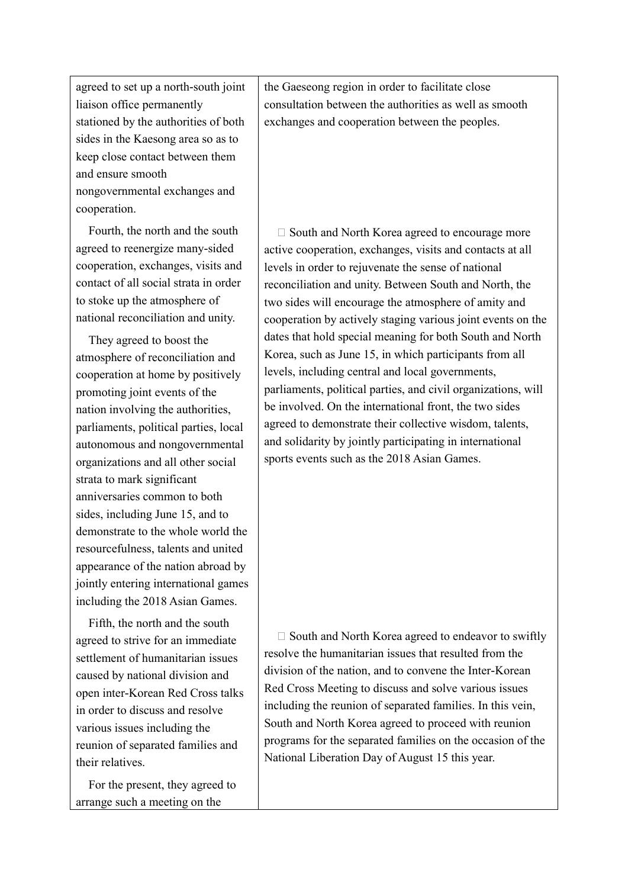agreed to set up a north-south joint liaison office permanently stationed by the authorities of both sides in the Kaesong area so as to keep close contact between them and ensure smooth nongovernmental exchanges and cooperation.

Fourth, the north and the south agreed to reenergize many-sided cooperation, exchanges, visits and contact of all social strata in order to stoke up the atmosphere of national reconciliation and unity.

They agreed to boost the atmosphere of reconciliation and cooperation at home by positively promoting joint events of the nation involving the authorities, parliaments, political parties, local autonomous and nongovernmental organizations and all other social strata to mark significant anniversaries common to both sides, including June 15, and to demonstrate to the whole world the resourcefulness, talents and united appearance of the nation abroad by jointly entering international games including the 2018 Asian Games.

Fifth, the north and the south agreed to strive for an immediate settlement of humanitarian issues caused by national division and open inter-Korean Red Cross talks in order to discuss and resolve various issues including the reunion of separated families and their relatives.

For the present, they agreed to arrange such a meeting on the

the Gaeseong region in order to facilitate close consultation between the authorities as well as smooth exchanges and cooperation between the peoples.

 $\square$  South and North Korea agreed to encourage more active cooperation, exchanges, visits and contacts at all levels in order to rejuvenate the sense of national reconciliation and unity. Between South and North, the two sides will encourage the atmosphere of amity and cooperation by actively staging various joint events on the dates that hold special meaning for both South and North Korea, such as June 15, in which participants from all levels, including central and local governments, parliaments, political parties, and civil organizations, will be involved. On the international front, the two sides agreed to demonstrate their collective wisdom, talents, and solidarity by jointly participating in international sports events such as the 2018 Asian Games.

 $\square$  South and North Korea agreed to endeavor to swiftly resolve the humanitarian issues that resulted from the division of the nation, and to convene the Inter-Korean Red Cross Meeting to discuss and solve various issues including the reunion of separated families. In this vein, South and North Korea agreed to proceed with reunion programs for the separated families on the occasion of the National Liberation Day of August 15 this year.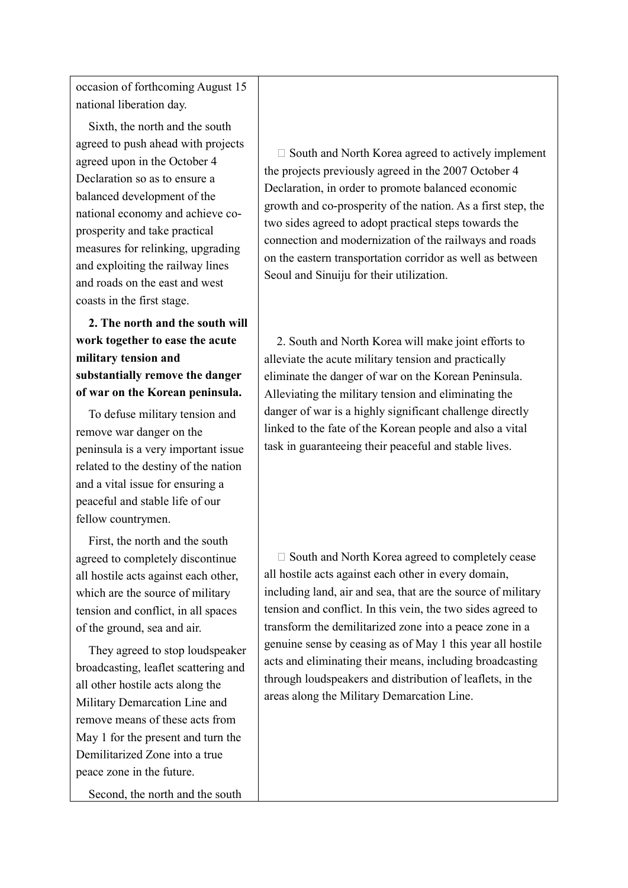occasion of forthcoming August 15 national liberation day.

Sixth, the north and the south agreed to push ahead with projects agreed upon in the October 4 Declaration so as to ensure a balanced development of the national economy and achieve coprosperity and take practical measures for relinking, upgrading and exploiting the railway lines and roads on the east and west coasts in the first stage.

**2. The north and the south will work together to ease the acute military tension and substantially remove the danger of war on the Korean peninsula.**

To defuse military tension and remove war danger on the peninsula is a very important issue related to the destiny of the nation and a vital issue for ensuring a peaceful and stable life of our fellow countrymen.

First, the north and the south agreed to completely discontinue all hostile acts against each other, which are the source of military tension and conflict, in all spaces of the ground, sea and air.

They agreed to stop loudspeaker broadcasting, leaflet scattering and all other hostile acts along the Military Demarcation Line and remove means of these acts from May 1 for the present and turn the Demilitarized Zone into a true peace zone in the future.

Second, the north and the south

 $\square$  South and North Korea agreed to actively implement the projects previously agreed in the 2007 October 4 Declaration, in order to promote balanced economic growth and co-prosperity of the nation. As a first step, the two sides agreed to adopt practical steps towards the connection and modernization of the railways and roads on the eastern transportation corridor as well as between Seoul and Sinuiju for their utilization.

2. South and North Korea will make joint efforts to alleviate the acute military tension and practically eliminate the danger of war on the Korean Peninsula. Alleviating the military tension and eliminating the danger of war is a highly significant challenge directly linked to the fate of the Korean people and also a vital task in guaranteeing their peaceful and stable lives.

 $\square$  South and North Korea agreed to completely cease all hostile acts against each other in every domain, including land, air and sea, that are the source of military tension and conflict. In this vein, the two sides agreed to transform the demilitarized zone into a peace zone in a genuine sense by ceasing as of May 1 this year all hostile acts and eliminating their means, including broadcasting through loudspeakers and distribution of leaflets, in the areas along the Military Demarcation Line.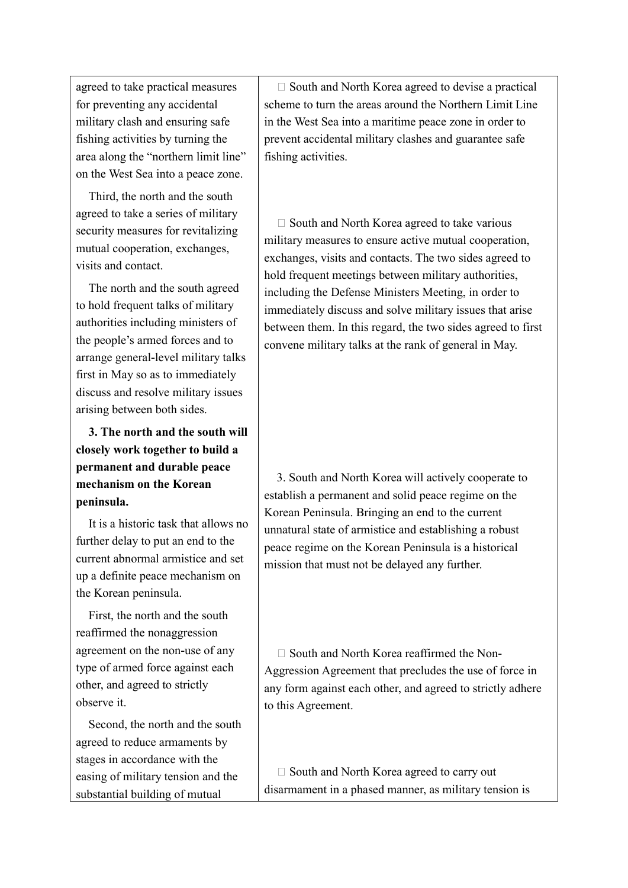agreed to take practical measures for preventing any accidental military clash and ensuring safe fishing activities by turning the area along the "northern limit line" on the West Sea into a peace zone.

Third, the north and the south agreed to take a series of military security measures for revitalizing mutual cooperation, exchanges, visits and contact.

The north and the south agreed to hold frequent talks of military authorities including ministers of the people's armed forces and to arrange general-level military talks first in May so as to immediately discuss and resolve military issues arising between both sides.

**3. The north and the south will closely work together to build a permanent and durable peace mechanism on the Korean peninsula.**

It is a historic task that allows no further delay to put an end to the current abnormal armistice and set up a definite peace mechanism on the Korean peninsula.

First, the north and the south reaffirmed the nonaggression agreement on the non-use of any type of armed force against each other, and agreed to strictly observe it.

Second, the north and the south agreed to reduce armaments by stages in accordance with the easing of military tension and the substantial building of mutual

 $\square$  South and North Korea agreed to devise a practical scheme to turn the areas around the Northern Limit Line in the West Sea into a maritime peace zone in order to prevent accidental military clashes and guarantee safe fishing activities.

 $\square$  South and North Korea agreed to take various military measures to ensure active mutual cooperation, exchanges, visits and contacts. The two sides agreed to hold frequent meetings between military authorities, including the Defense Ministers Meeting, in order to immediately discuss and solve military issues that arise between them. In this regard, the two sides agreed to first convene military talks at the rank of general in May.

3. South and North Korea will actively cooperate to establish a permanent and solid peace regime on the Korean Peninsula. Bringing an end to the current unnatural state of armistice and establishing a robust peace regime on the Korean Peninsula is a historical mission that must not be delayed any further.

 $\Box$  South and North Korea reaffirmed the Non-Aggression Agreement that precludes the use of force in any form against each other, and agreed to strictly adhere to this Agreement.

 $\square$  South and North Korea agreed to carry out disarmament in a phased manner, as military tension is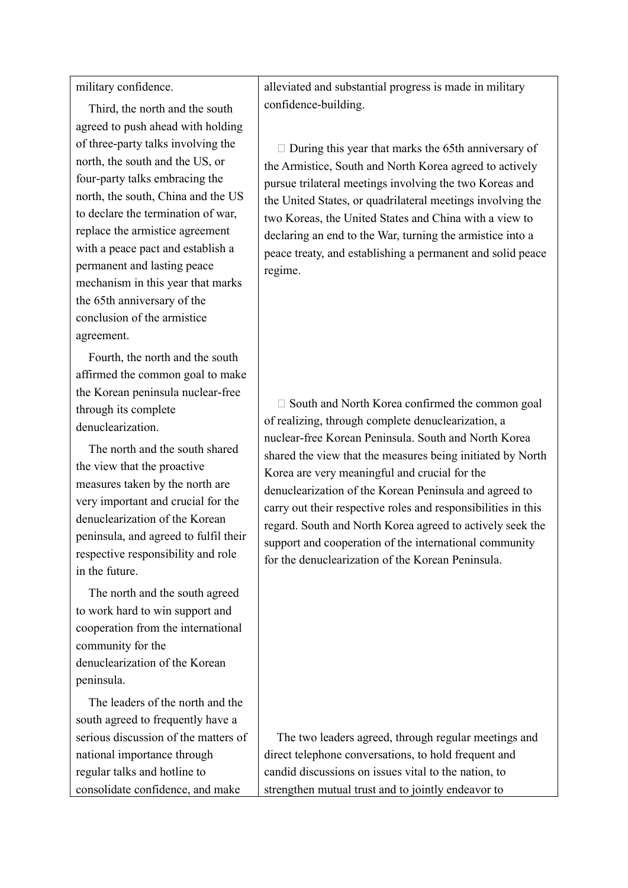military confidence.

Third, the north and the south agreed to push ahead with holding of three-party talks involving the north, the south and the US, or four-party talks embracing the north, the south, China and the US to declare the termination of war, replace the armistice agreement with a peace pact and establish a permanent and lasting peace mechanism in this year that marks the 65th anniversary of the conclusion of the armistice agreement.

Fourth, the north and the south affirmed the common goal to make the Korean peninsula nuclear-free through its complete denuclearization.

The north and the south shared the view that the proactive measures taken by the north are very important and crucial for the denuclearization of the Korean peninsula, and agreed to fulfil their respective responsibility and role in the future.

The north and the south agreed to work hard to win support and cooperation from the international community for the denuclearization of the Korean peninsula.

The leaders of the north and the south agreed to frequently have a serious discussion of the matters of national importance through regular talks and hotline to consolidate confidence, and make

alleviated and substantial progress is made in military confidence-building.

 $\Box$  During this year that marks the 65th anniversary of the Armistice, South and North Korea agreed to actively pursue trilateral meetings involving the two Koreas and the United States, or quadrilateral meetings involving the two Koreas, the United States and China with a view to declaring an end to the War, turning the armistice into a peace treaty, and establishing a permanent and solid peace regime.

 $\square$  South and North Korea confirmed the common goal of realizing, through complete denuclearization, a nuclear-free Korean Peninsula. South and North Korea shared the view that the measures being initiated by North Korea are very meaningful and crucial for the denuclearization of the Korean Peninsula and agreed to carry out their respective roles and responsibilities in this regard. South and North Korea agreed to actively seek the support and cooperation of the international community for the denuclearization of the Korean Peninsula.

The two leaders agreed, through regular meetings and direct telephone conversations, to hold frequent and candid discussions on issues vital to the nation, to strengthen mutual trust and to jointly endeavor to